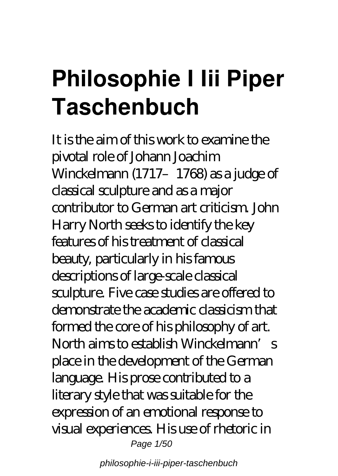## **Philosophie I Iii Piper Taschenbuch**

It is the aim of this work to examine the pivotal role of Johann Joachim Winckelmann (1717–1768) as a judge of classical sculpture and as a major contributor to German art criticism. John Harry North seeks to identify the key features of his treatment of classical beauty, particularly in his famous descriptions of large-scale classical sculpture. Five case studies are offered to demonstrate the academic classicism that formed the core of his philosophy of art. North aims to establish Winckelmann's place in the development of the German language. His prose contributed to a literary style that was suitable for the expression of an emotional response to visual experiences. His use of rhetoric in Page 1/50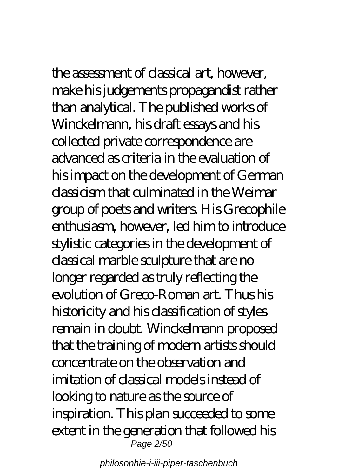the assessment of classical art, however,

make his judgements propagandist rather than analytical. The published works of Winckelmann, his draft essays and his collected private correspondence are advanced as criteria in the evaluation of his impact on the development of German classicism that culminated in the Weimar group of poets and writers. His Grecophile enthusiasm, however, led him to introduce stylistic categories in the development of classical marble sculpture that are no longer regarded as truly reflecting the evolution of Greco-Roman art. Thus his historicity and his classification of styles remain in doubt. Winckelmann proposed that the training of modern artists should concentrate on the observation and imitation of classical models instead of looking to nature as the source of inspiration. This plan succeeded to some extent in the generation that followed his Page 2/50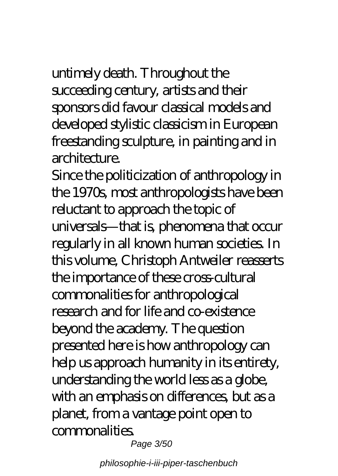untimely death. Throughout the succeeding century, artists and their sponsors did favour classical models and developed stylistic classicism in European freestanding sculpture, in painting and in architecture

Since the politicization of anthropology in the 1970s, most anthropologists have been reluctant to approach the topic of universals—that is, phenomena that occur regularly in all known human societies. In this volume, Christoph Antweiler reasserts the importance of these cross-cultural commonalities for anthropological research and for life and co-existence beyond the academy. The question presented here is how anthropology can help us approach humanity in its entirety, understanding the world less as a globe, with an emphasis on differences, but as a planet, from a vantage point open to commonalities.

Page 3/50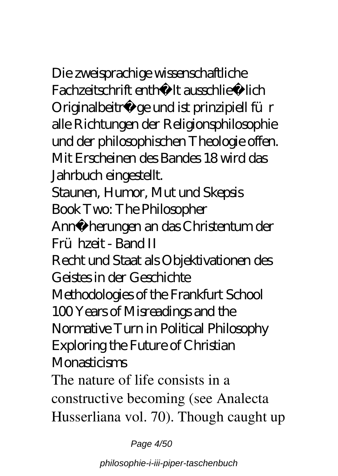Die zweisprachige wissenschaftliche Fachzeitschrift enthällt ausschließ lich Originalbeiträge und ist prinzipiell für alle Richtungen der Religionsphilosophie und der philosophischen Theologie offen. Mit Erscheinen des Bandes 18 wird das

Jahrbuch eingestellt.

Staunen, Humor, Mut und Skepsis Book Two: The Philosopher

Annäherungen an das Christentum der Frühzeit - Band II

Recht und Staat als Objektivationen des Geistes in der Geschichte

Methodologies of the Frankfurt School 100 Years of Misreadings and the Normative Turn in Political Philosophy

Exploring the Future of Christian Monasticisms

The nature of life consists in a constructive becoming (see Analecta Husserliana vol. 70). Though caught up

Page 4/50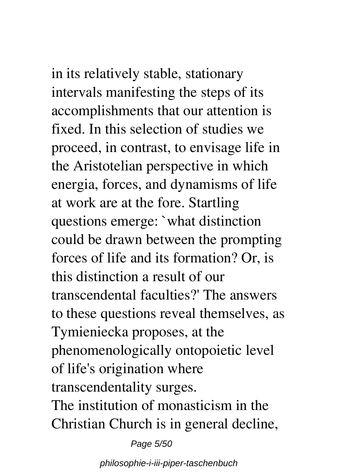in its relatively stable, stationary intervals manifesting the steps of its accomplishments that our attention is fixed. In this selection of studies we proceed, in contrast, to envisage life in the Aristotelian perspective in which energia, forces, and dynamisms of life at work are at the fore. Startling questions emerge: `what distinction could be drawn between the prompting forces of life and its formation? Or, is this distinction a result of our transcendental faculties?' The answers to these questions reveal themselves, as Tymieniecka proposes, at the phenomenologically ontopoietic level of life's origination where transcendentality surges. The institution of monasticism in the Christian Church is in general decline,

Page 5/50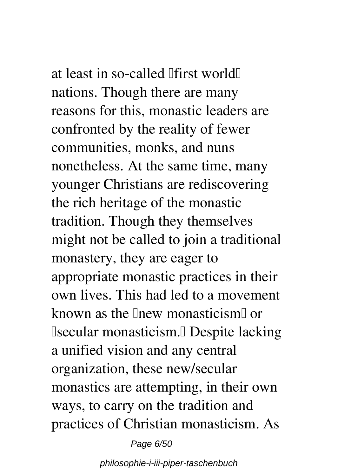at least in so-called lifirst worldll nations. Though there are many reasons for this, monastic leaders are confronted by the reality of fewer communities, monks, and nuns nonetheless. At the same time, many younger Christians are rediscovering the rich heritage of the monastic tradition. Though they themselves might not be called to join a traditional monastery, they are eager to appropriate monastic practices in their own lives. This had led to a movement known as the linew monasticism or Isecular monasticism.<sup>I</sup> Despite lacking a unified vision and any central organization, these new/secular monastics are attempting, in their own ways, to carry on the tradition and practices of Christian monasticism. As

Page 6/50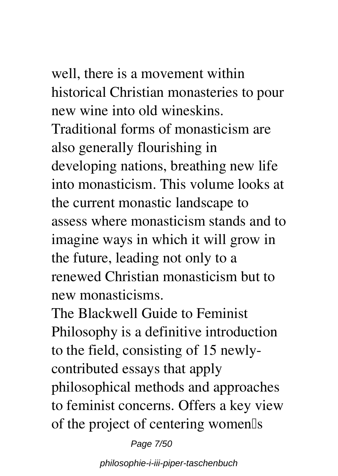well, there is a movement within historical Christian monasteries to pour new wine into old wineskins. Traditional forms of monasticism are also generally flourishing in developing nations, breathing new life into monasticism. This volume looks at the current monastic landscape to assess where monasticism stands and to imagine ways in which it will grow in the future, leading not only to a renewed Christian monasticism but to new monasticisms.

The Blackwell Guide to Feminist Philosophy is a definitive introduction to the field, consisting of 15 newlycontributed essays that apply philosophical methods and approaches to feminist concerns. Offers a key view of the project of centering women<sup>[]</sup>s

Page 7/50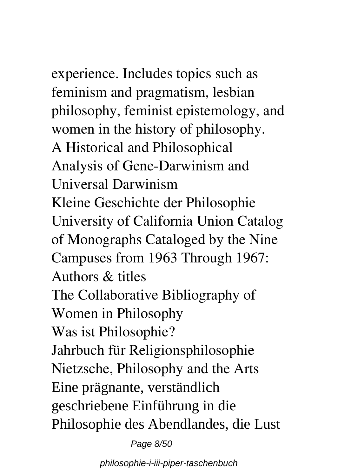experience. Includes topics such as feminism and pragmatism, lesbian philosophy, feminist epistemology, and women in the history of philosophy. A Historical and Philosophical Analysis of Gene-Darwinism and Universal Darwinism Kleine Geschichte der Philosophie University of California Union Catalog of Monographs Cataloged by the Nine Campuses from 1963 Through 1967: Authors & titles The Collaborative Bibliography of Women in Philosophy Was ist Philosophie? Jahrbuch für Religionsphilosophie Nietzsche, Philosophy and the Arts Eine prägnante, verständlich geschriebene Einführung in die Philosophie des Abendlandes, die Lust

Page 8/50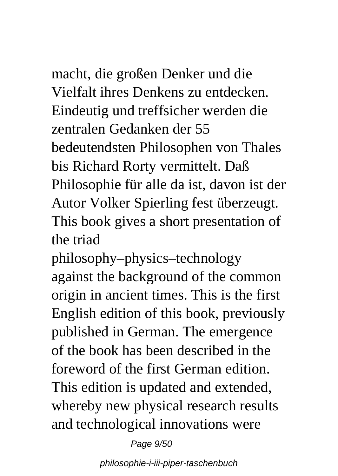### macht, die großen Denker und die Vielfalt ihres Denkens zu entdecken. Eindeutig und treffsicher werden die zentralen Gedanken der 55 bedeutendsten Philosophen von Thales bis Richard Rorty vermittelt. Daß Philosophie für alle da ist, davon ist der Autor Volker Spierling fest überzeugt.

This book gives a short presentation of the triad

philosophy–physics–technology against the background of the common origin in ancient times. This is the first English edition of this book, previously published in German. The emergence of the book has been described in the foreword of the first German edition. This edition is updated and extended, whereby new physical research results and technological innovations were

Page 9/50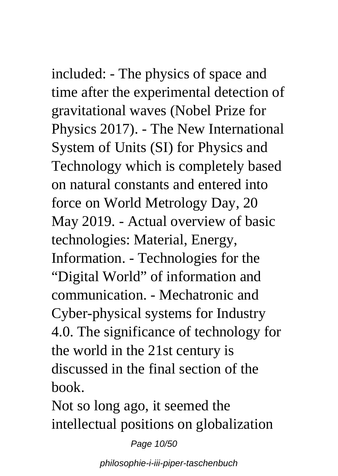## included: - The physics of space and

time after the experimental detection of gravitational waves (Nobel Prize for Physics 2017). - The New International System of Units (SI) for Physics and Technology which is completely based on natural constants and entered into force on World Metrology Day, 20 May 2019. - Actual overview of basic technologies: Material, Energy, Information. - Technologies for the "Digital World" of information and communication. - Mechatronic and Cyber-physical systems for Industry 4.0. The significance of technology for the world in the 21st century is discussed in the final section of the book.

Not so long ago, it seemed the intellectual positions on globalization

Page 10/50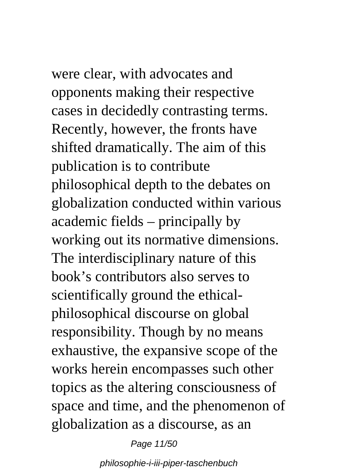were clear, with advocates and opponents making their respective cases in decidedly contrasting terms. Recently, however, the fronts have shifted dramatically. The aim of this publication is to contribute philosophical depth to the debates on globalization conducted within various academic fields – principally by working out its normative dimensions. The interdisciplinary nature of this book's contributors also serves to scientifically ground the ethicalphilosophical discourse on global responsibility. Though by no means exhaustive, the expansive scope of the works herein encompasses such other topics as the altering consciousness of space and time, and the phenomenon of globalization as a discourse, as an

Page 11/50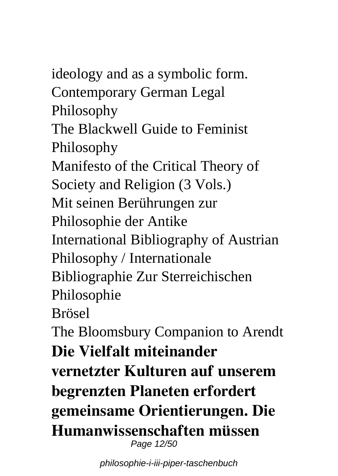ideology and as a symbolic form. Contemporary German Legal Philosophy The Blackwell Guide to Feminist Philosophy Manifesto of the Critical Theory of Society and Religion (3 Vols.) Mit seinen Berührungen zur Philosophie der Antike International Bibliography of Austrian Philosophy / Internationale Bibliographie Zur Sterreichischen Philosophie Brösel The Bloomsbury Companion to Arendt **Die Vielfalt miteinander vernetzter Kulturen auf unserem begrenzten Planeten erfordert gemeinsame Orientierungen. Die Humanwissenschaften müssen** Page 12/50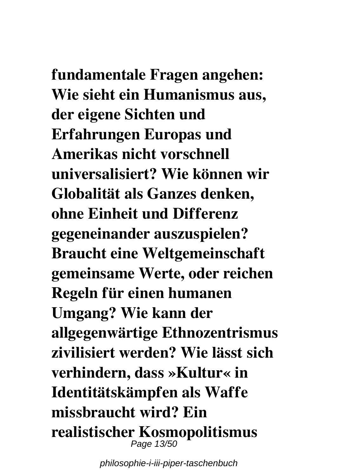# **fundamentale Fragen angehen:**

**Wie sieht ein Humanismus aus, der eigene Sichten und Erfahrungen Europas und Amerikas nicht vorschnell universalisiert? Wie können wir Globalität als Ganzes denken, ohne Einheit und Differenz gegeneinander auszuspielen? Braucht eine Weltgemeinschaft gemeinsame Werte, oder reichen Regeln für einen humanen Umgang? Wie kann der allgegenwärtige Ethnozentrismus zivilisiert werden? Wie lässt sich verhindern, dass »Kultur« in Identitätskämpfen als Waffe missbraucht wird? Ein realistischer Kosmopolitismus** Page 13/50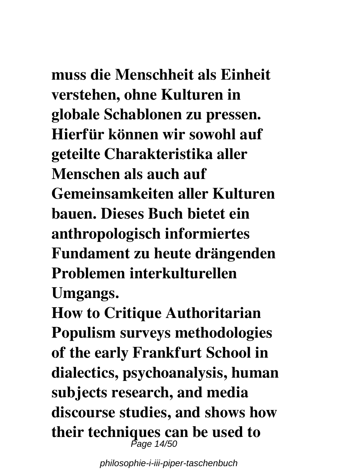# **muss die Menschheit als Einheit**

**verstehen, ohne Kulturen in globale Schablonen zu pressen. Hierfür können wir sowohl auf geteilte Charakteristika aller Menschen als auch auf Gemeinsamkeiten aller Kulturen bauen. Dieses Buch bietet ein anthropologisch informiertes Fundament zu heute drängenden Problemen interkulturellen Umgangs.**

**How to Critique Authoritarian Populism surveys methodologies of the early Frankfurt School in dialectics, psychoanalysis, human subjects research, and media discourse studies, and shows how their techniques can be used to** Page 14/50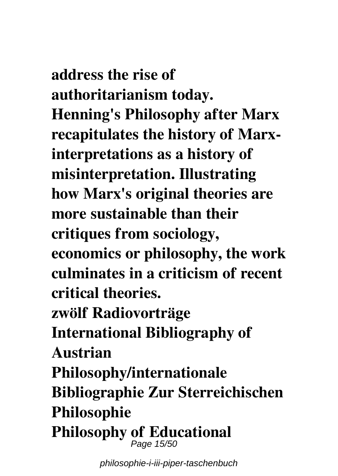**address the rise of authoritarianism today. Henning's Philosophy after Marx recapitulates the history of Marxinterpretations as a history of misinterpretation. Illustrating how Marx's original theories are more sustainable than their critiques from sociology, economics or philosophy, the work culminates in a criticism of recent critical theories. zwölf Radiovorträge International Bibliography of Austrian Philosophy/internationale Bibliographie Zur Sterreichischen Philosophie Philosophy of Educational** Page 15/50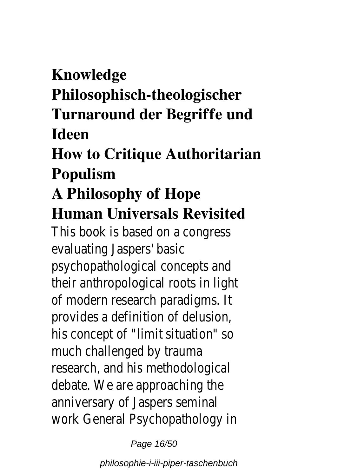### **Knowledge**

**Philosophisch-theologischer**

### **Turnaround der Begriffe und Ideen**

### **How to Critique Authoritarian Populism**

### **A Philosophy of Hope Human Universals Revisited**

This book is based on a congress evaluating Jaspers' basic psychopathological concepts and their anthropological roots in light of modern research paradigms. It provides a definition of delusion, his concept of "limit situation" so much challenged by trauma research, and his methodological debate. We are approaching the anniversary of Jaspers seminal work General Psychopathology in

Page 16/50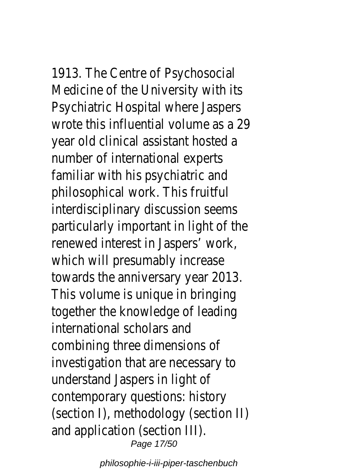1913. The Centre of Psychosocial Medicine of the University with its Psychiatric Hospital where Jaspers wrote this influential volume as a 29 year old clinical assistant hosted a number of international experts familiar with his psychiatric and philosophical work. This fruitful interdisciplinary discussion seems particularly important in light of the renewed interest in Jaspers' work, which will presumably increase towards the anniversary year 2013. This volume is unique in bringing together the knowledge of leading international scholars and combining three dimensions of investigation that are necessary to understand Jaspers in light of contemporary questions: history (section I), methodology (section II) and application (section III). Page 17/50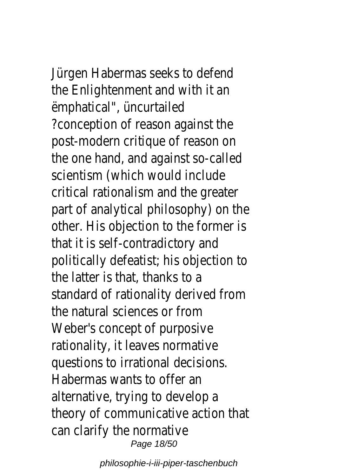Jürgen Habermas seeks to defend the Enlightenment and with it an ëmphatical", üncurtailed ?conception of reason against the post-modern critique of reason on the one hand, and against so-called scientism (which would include critical rationalism and the greater part of analytical philosophy) on the other. His objection to the former is that it is self-contradictory and politically defeatist; his objection to the latter is that, thanks to a standard of rationality derived from the natural sciences or from Weber's concept of purposive rationality, it leaves normative questions to irrational decisions. Habermas wants to offer an alternative, trying to develop a theory of communicative action that can clarify the normative Page 18/50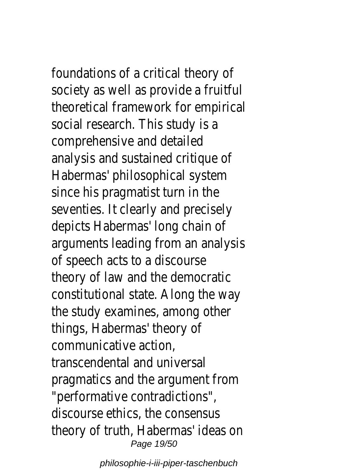foundations of a critical theory of society as well as provide a fruitful theoretical framework for empirical social research. This study is a comprehensive and detailed analysis and sustained critique of Habermas' philosophical system since his pragmatist turn in the seventies. It clearly and precisely depicts Habermas' long chain of arguments leading from an analysis of speech acts to a discourse theory of law and the democratic constitutional state. Along the way the study examines, among other things, Habermas' theory of communicative action, transcendental and universal pragmatics and the argument from "performative contradictions", discourse ethics, the consensus theory of truth, Habermas' ideas on Page 19/50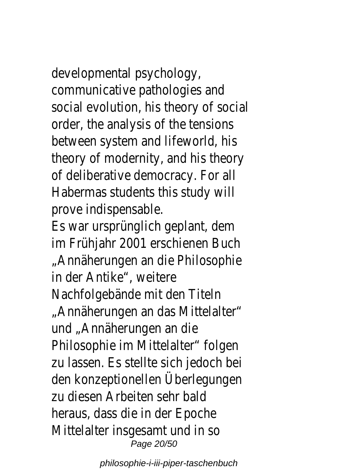developmental psychology, communicative pathologies and social evolution, his theory of social order, the analysis of the tensions between system and lifeworld, his theory of modernity, and his theory of deliberative democracy. For all Habermas students this study will prove indispensable.

Es war ursprünglich geplant, dem im Frühjahr 2001 erschienen Buch "Annäherungen an die Philosophie in der Antike", weitere Nachfolgebände mit den Titeln "Annäherungen an das Mittelalter" und "Annäherungen an die Philosophie im Mittelalter" folgen zu lassen. Es stellte sich jedoch bei den konzeptionellen Überlegungen zu diesen Arbeiten sehr bald heraus, dass die in der Epoche Mittelalter insgesamt und in so Page 20/50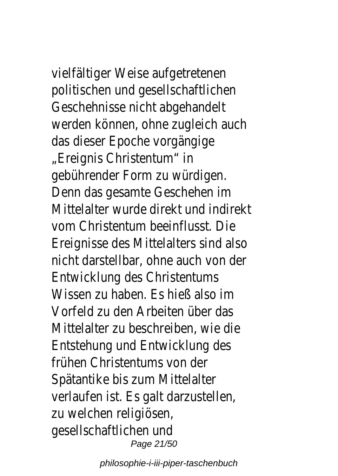vielfältiger Weise aufgetretenen politischen und gesellschaftlichen Geschehnisse nicht abgehandelt werden können, ohne zugleich auch das dieser Epoche vorgängige "Ereignis Christentum" in gebührender Form zu würdigen. Denn das gesamte Geschehen im Mittelalter wurde direkt und indirekt vom Christentum beeinflusst. Die Ereignisse des Mittelalters sind also nicht darstellbar, ohne auch von der Entwicklung des Christentums Wissen zu haben. Es hieß also im Vorfeld zu den Arbeiten über das Mittelalter zu beschreiben, wie die Entstehung und Entwicklung des frühen Christentums von der Spätantike bis zum Mittelalter verlaufen ist. Es galt darzustellen, zu welchen religiösen, gesellschaftlichen und Page 21/50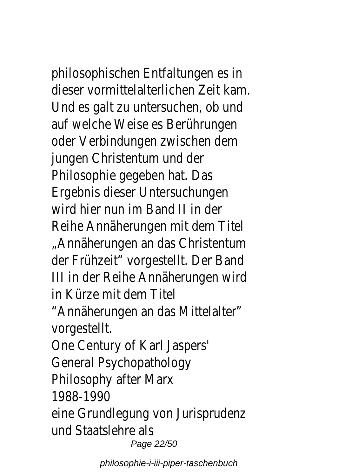philosophischen Entfaltungen es in dieser vormittelalterlichen Zeit kam. Und es galt zu untersuchen, ob und auf welche Weise es Berührungen oder Verbindungen zwischen dem jungen Christentum und der Philosophie gegeben hat. Das Ergebnis dieser Untersuchungen wird hier nun im Band II in der Reihe Annäherungen mit dem Titel "Annäherungen an das Christentum der Frühzeit" vorgestellt. Der Band III in der Reihe Annäherungen wird in Kürze mit dem Titel "Annäherungen an das Mittelalter" vorgestellt. One Century of Karl Jaspers' General Psychopathology Philosophy after Marx 1988-1990 eine Grundlegung von Jurisprudenz und Staatslehre als Page 22/50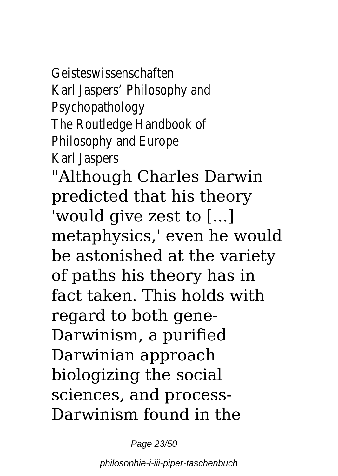### Geisteswissenschaften Karl Jaspers' Philosophy and Psychopathology The Routledge Handbook of Philosophy and Europe

Karl Jaspers

"Although Charles Darwin predicted that his theory 'would give zest to [...] metaphysics,' even he would be astonished at the variety of paths his theory has in fact taken. This holds with regard to both gene-Darwinism, a purified Darwinian approach biologizing the social sciences, and process-Darwinism found in the

Page 23/50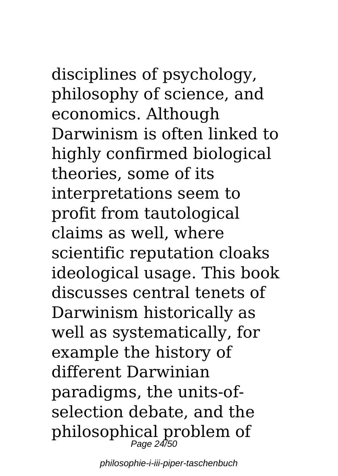disciplines of psychology, philosophy of science, and economics. Although Darwinism is often linked to highly confirmed biological theories, some of its interpretations seem to profit from tautological claims as well, where scientific reputation cloaks ideological usage. This book discusses central tenets of Darwinism historically as well as systematically, for example the history of different Darwinian paradigms, the units-ofselection debate, and the philosophical problem of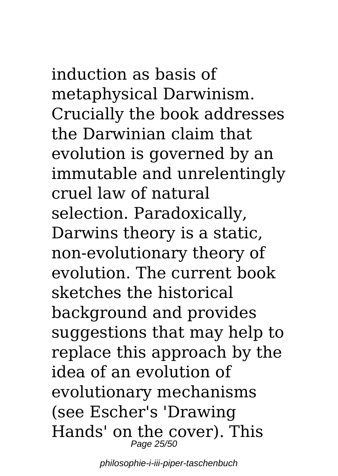## induction as basis of

metaphysical Darwinism. Crucially the book addresses the Darwinian claim that evolution is governed by an immutable and unrelentingly cruel law of natural selection. Paradoxically, Darwins theory is a static, non-evolutionary theory of evolution. The current book sketches the historical background and provides suggestions that may help to replace this approach by the idea of an evolution of evolutionary mechanisms (see Escher's 'Drawing Hands' on the cover). This Page 25/50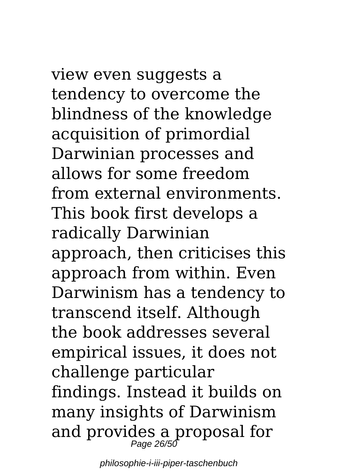# view even suggests a

tendency to overcome the blindness of the knowledge acquisition of primordial Darwinian processes and allows for some freedom from external environments. This book first develops a radically Darwinian approach, then criticises this approach from within. Even Darwinism has a tendency to transcend itself. Although the book addresses several empirical issues, it does not challenge particular findings. Instead it builds on many insights of Darwinism and provides a proposal for Page 26/50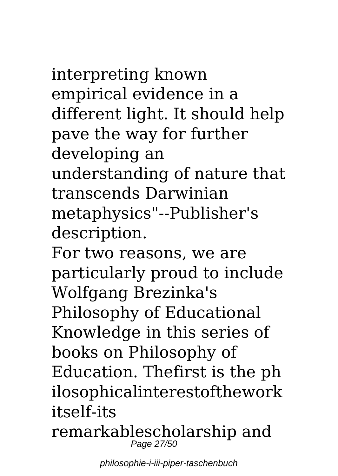### interpreting known empirical evidence in a different light. It should help pave the way for further developing an

understanding of nature that transcends Darwinian metaphysics"--Publisher's description.

For two reasons, we are particularly proud to include Wolfgang Brezinka's Philosophy of Educational Knowledge in this series of books on Philosophy of Education. Thefirst is the ph ilosophicalinterestofthework itself-its

remarkablescholarship and Page 27/50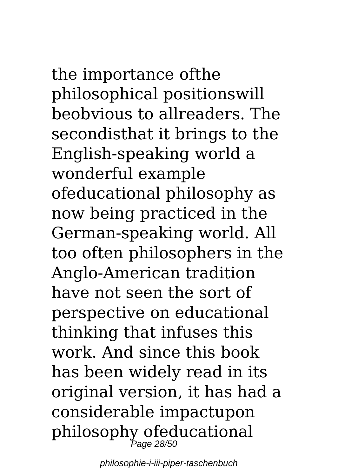## the importance ofthe philosophical positionswill beobvious to allreaders. The secondisthat it brings to the

English-speaking world a wonderful example ofeducational philosophy as now being practiced in the German-speaking world. All too often philosophers in the Anglo-American tradition have not seen the sort of perspective on educational thinking that infuses this work. And since this book has been widely read in its original version, it has had a considerable impactupon philosophy ofeducational Page 28/50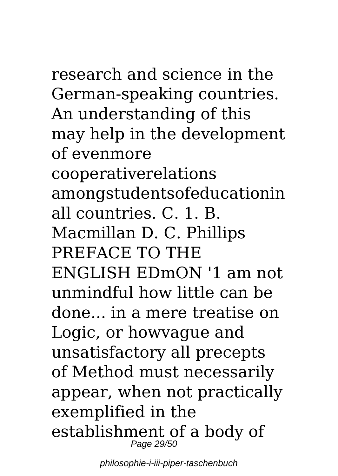research and science in the German-speaking countries. An understanding of this may help in the development of evenmore cooperativerelations amongstudentsofeducationin all countries. C. 1. B. Macmillan D. C. Phillips PREFACE TO THE ENGLISH EDmON '1 am not unmindful how little can be done... in a mere treatise on Logic, or howvague and unsatisfactory all precepts of Method must necessarily appear, when not practically exemplified in the

establishment of a body of Page 29/50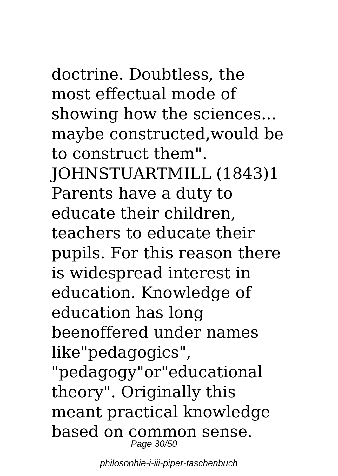doctrine. Doubtless, the most effectual mode of showing how the sciences... maybe constructed,would be to construct them". JOHNSTUARTMILL (1843)1 Parents have a duty to educate their children, teachers to educate their pupils. For this reason there is widespread interest in education. Knowledge of education has long beenoffered under names like"pedagogics", "pedagogy"or"educational theory". Originally this meant practical knowledge based on common sense. Page 30/50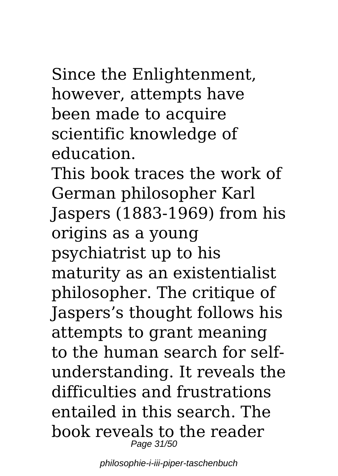Since the Enlightenment, however, attempts have been made to acquire scientific knowledge of education.

This book traces the work of German philosopher Karl Jaspers (1883-1969) from his origins as a young psychiatrist up to his maturity as an existentialist philosopher. The critique of Jaspers's thought follows his attempts to grant meaning to the human search for selfunderstanding. It reveals the difficulties and frustrations entailed in this search. The book reveals to the reader Page 31/50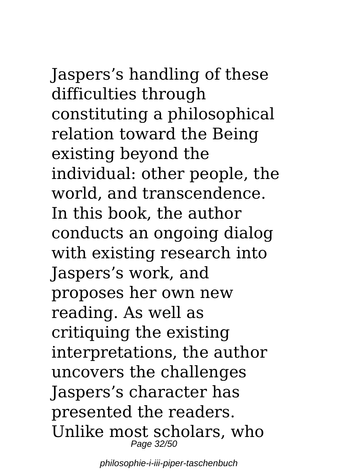Jaspers's handling of these difficulties through constituting a philosophical relation toward the Being existing beyond the individual: other people, the world, and transcendence. In this book, the author conducts an ongoing dialog with existing research into Jaspers's work, and proposes her own new reading. As well as critiquing the existing interpretations, the author uncovers the challenges Jaspers's character has presented the readers. Unlike most scholars, who

Page 32/50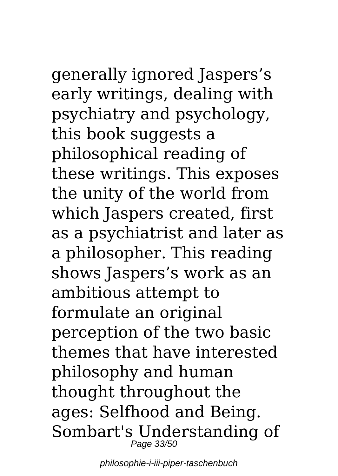# generally ignored Jaspers's

early writings, dealing with psychiatry and psychology, this book suggests a philosophical reading of these writings. This exposes the unity of the world from which Jaspers created, first as a psychiatrist and later as a philosopher. This reading shows Jaspers's work as an ambitious attempt to formulate an original perception of the two basic themes that have interested philosophy and human thought throughout the ages: Selfhood and Being. Sombart's Understanding of Page 33/50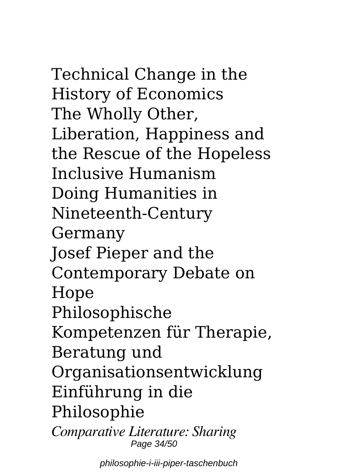Technical Change in the History of Economics The Wholly Other, Liberation, Happiness and the Rescue of the Hopeless Inclusive Humanism Doing Humanities in Nineteenth-Century Germany Josef Pieper and the Contemporary Debate on Hope Philosophische Kompetenzen für Therapie, Beratung und Organisationsentwicklung Einführung in die Philosophie *Comparative Literature: Sharing*

Page 34/50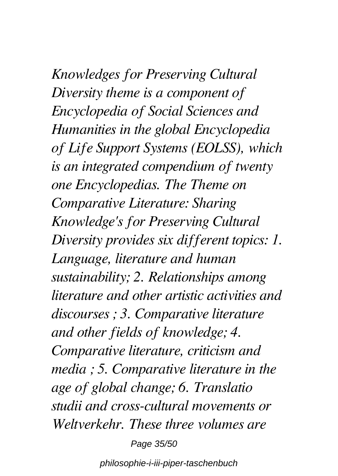*Knowledges for Preserving Cultural Diversity theme is a component of Encyclopedia of Social Sciences and Humanities in the global Encyclopedia of Life Support Systems (EOLSS), which is an integrated compendium of twenty one Encyclopedias. The Theme on Comparative Literature: Sharing Knowledge's for Preserving Cultural Diversity provides six different topics: 1. Language, literature and human sustainability; 2. Relationships among literature and other artistic activities and discourses ; 3. Comparative literature and other fields of knowledge; 4. Comparative literature, criticism and media ; 5. Comparative literature in the age of global change; 6. Translatio studii and cross-cultural movements or Weltverkehr. These three volumes are*

Page 35/50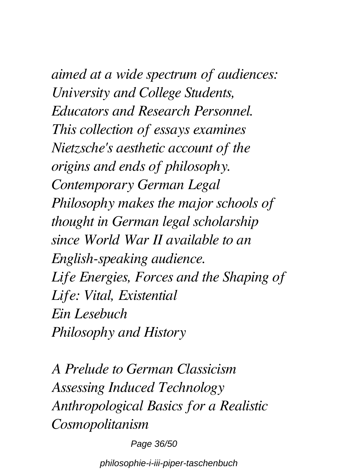*aimed at a wide spectrum of audiences: University and College Students, Educators and Research Personnel. This collection of essays examines Nietzsche's aesthetic account of the origins and ends of philosophy. Contemporary German Legal Philosophy makes the major schools of thought in German legal scholarship since World War II available to an English-speaking audience. Life Energies, Forces and the Shaping of Life: Vital, Existential Ein Lesebuch Philosophy and History*

*A Prelude to German Classicism Assessing Induced Technology Anthropological Basics for a Realistic Cosmopolitanism*

Page 36/50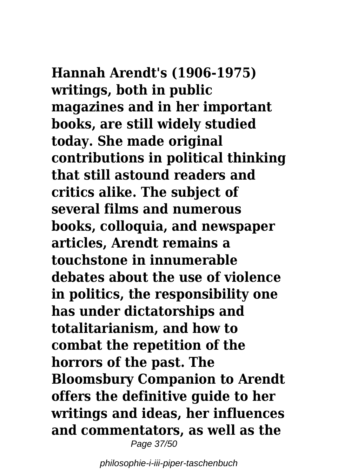**Hannah Arendt's (1906-1975) writings, both in public**

**magazines and in her important books, are still widely studied today. She made original contributions in political thinking that still astound readers and critics alike. The subject of several films and numerous books, colloquia, and newspaper articles, Arendt remains a touchstone in innumerable debates about the use of violence in politics, the responsibility one has under dictatorships and totalitarianism, and how to combat the repetition of the horrors of the past. The Bloomsbury Companion to Arendt offers the definitive guide to her writings and ideas, her influences and commentators, as well as the** Page 37/50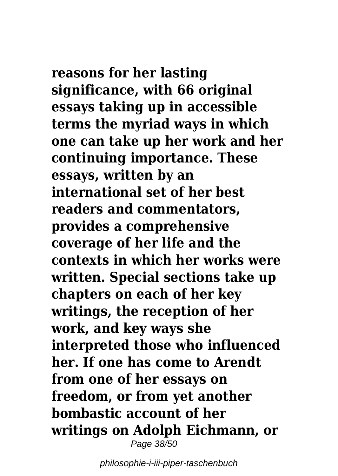**reasons for her lasting significance, with 66 original essays taking up in accessible terms the myriad ways in which one can take up her work and her continuing importance. These essays, written by an international set of her best readers and commentators, provides a comprehensive coverage of her life and the contexts in which her works were written. Special sections take up chapters on each of her key writings, the reception of her work, and key ways she interpreted those who influenced her. If one has come to Arendt from one of her essays on freedom, or from yet another bombastic account of her writings on Adolph Eichmann, or** Page 38/50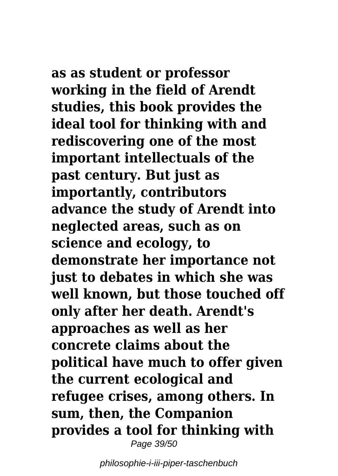**as as student or professor working in the field of Arendt studies, this book provides the ideal tool for thinking with and rediscovering one of the most important intellectuals of the past century. But just as importantly, contributors advance the study of Arendt into neglected areas, such as on science and ecology, to demonstrate her importance not just to debates in which she was well known, but those touched off only after her death. Arendt's approaches as well as her concrete claims about the political have much to offer given the current ecological and refugee crises, among others. In sum, then, the Companion provides a tool for thinking with** Page 39/50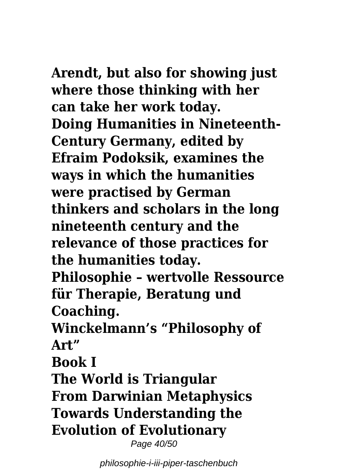**Arendt, but also for showing just where those thinking with her can take her work today. Doing Humanities in Nineteenth-Century Germany, edited by Efraim Podoksik, examines the ways in which the humanities were practised by German thinkers and scholars in the long nineteenth century and the relevance of those practices for the humanities today. Philosophie – wertvolle Ressource**

**für Therapie, Beratung und Coaching.**

**Winckelmann's "Philosophy of Art"**

**Book I**

**The World is Triangular From Darwinian Metaphysics Towards Understanding the Evolution of Evolutionary**

Page 40/50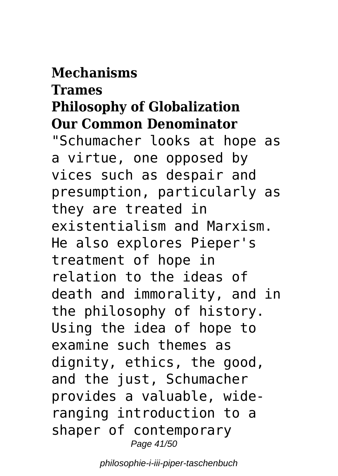### **Mechanisms**

### **Trames Philosophy of Globalization Our Common Denominator**

"Schumacher looks at hope as a virtue, one opposed by vices such as despair and presumption, particularly as they are treated in existentialism and Marxism. He also explores Pieper's treatment of hope in relation to the ideas of death and immorality, and in the philosophy of history. Using the idea of hope to examine such themes as dignity, ethics, the good, and the just, Schumacher provides a valuable, wideranging introduction to a shaper of contemporary Page 41/50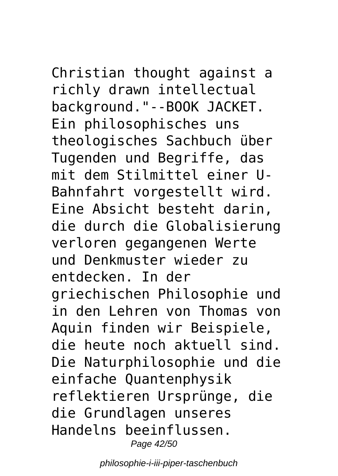Christian thought against a richly drawn intellectual background."--BOOK JACKET. Ein philosophisches uns theologisches Sachbuch über Tugenden und Begriffe, das mit dem Stilmittel einer U-Bahnfahrt vorgestellt wird. Eine Absicht besteht darin, die durch die Globalisierung verloren gegangenen Werte und Denkmuster wieder zu entdecken. In der griechischen Philosophie und in den Lehren von Thomas von Aquin finden wir Beispiele, die heute noch aktuell sind. Die Naturphilosophie und die einfache Quantenphysik reflektieren Ursprünge, die die Grundlagen unseres Handelns beeinflussen. Page 42/50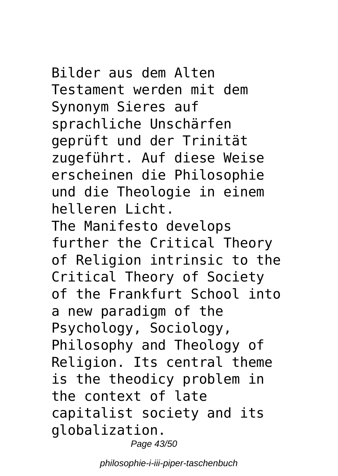Bilder aus dem Alten Testament werden mit dem Synonym Sieres auf sprachliche Unschärfen geprüft und der Trinität zugeführt. Auf diese Weise erscheinen die Philosophie und die Theologie in einem helleren Licht. The Manifesto develops further the Critical Theory of Religion intrinsic to the Critical Theory of Society of the Frankfurt School into a new paradigm of the Psychology, Sociology, Philosophy and Theology of Religion. Its central theme is the theodicy problem in the context of late capitalist society and its globalization. Page 43/50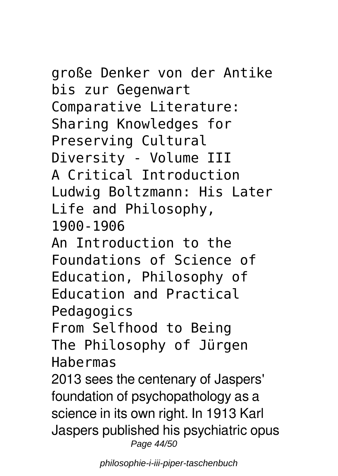### große Denker von der Antike bis zur Gegenwart Comparative Literature: Sharing Knowledges for Preserving Cultural Diversity - Volume III A Critical Introduction Ludwig Boltzmann: His Later Life and Philosophy, 1900-1906 An Introduction to the Foundations of Science of

Education, Philosophy of Education and Practical Pedagogics

From Selfhood to Being The Philosophy of Jürgen Habermas

2013 sees the centenary of Jaspers' foundation of psychopathology as a science in its own right. In 1913 Karl Jaspers published his psychiatric opus Page 44/50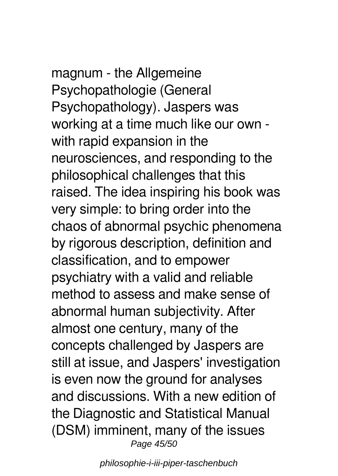## magnum - the Allgemeine Psychopathologie (General

Psychopathology). Jaspers was working at a time much like our own with rapid expansion in the neurosciences, and responding to the philosophical challenges that this raised. The idea inspiring his book was very simple: to bring order into the chaos of abnormal psychic phenomena by rigorous description, definition and classification, and to empower psychiatry with a valid and reliable method to assess and make sense of abnormal human subjectivity. After almost one century, many of the concepts challenged by Jaspers are still at issue, and Jaspers' investigation is even now the ground for analyses and discussions. With a new edition of the Diagnostic and Statistical Manual (DSM) imminent, many of the issues Page 45/50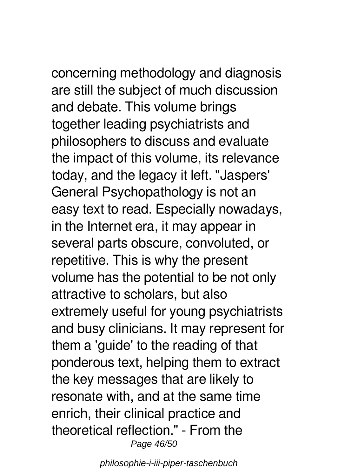concerning methodology and diagnosis are still the subject of much discussion and debate. This volume brings together leading psychiatrists and philosophers to discuss and evaluate the impact of this volume, its relevance today, and the legacy it left. "Jaspers' General Psychopathology is not an easy text to read. Especially nowadays, in the Internet era, it may appear in several parts obscure, convoluted, or repetitive. This is why the present volume has the potential to be not only attractive to scholars, but also extremely useful for young psychiatrists and busy clinicians. It may represent for them a 'guide' to the reading of that ponderous text, helping them to extract the key messages that are likely to resonate with, and at the same time enrich, their clinical practice and theoretical reflection." - From the Page 46/50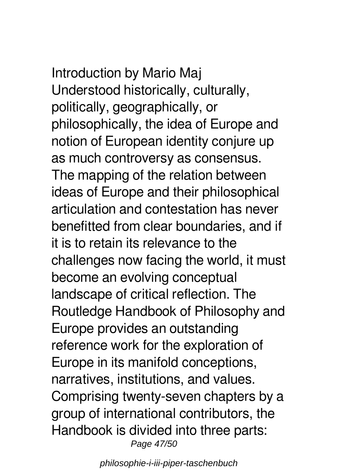## Introduction by Mario Maj Understood historically, culturally,

politically, geographically, or philosophically, the idea of Europe and notion of European identity conjure up as much controversy as consensus. The mapping of the relation between ideas of Europe and their philosophical articulation and contestation has never benefitted from clear boundaries, and if it is to retain its relevance to the challenges now facing the world, it must become an evolving conceptual landscape of critical reflection. The Routledge Handbook of Philosophy and Europe provides an outstanding reference work for the exploration of Europe in its manifold conceptions, narratives, institutions, and values. Comprising twenty-seven chapters by a group of international contributors, the Handbook is divided into three parts: Page 47/50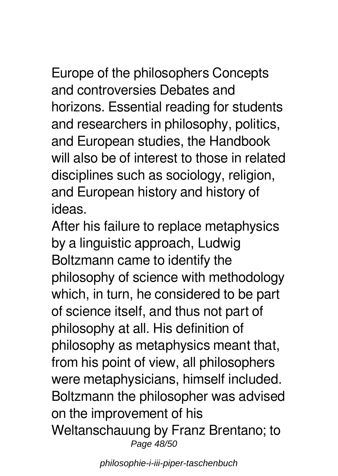Europe of the philosophers Concepts and controversies Debates and horizons. Essential reading for students and researchers in philosophy, politics, and European studies, the Handbook will also be of interest to those in related disciplines such as sociology, religion, and European history and history of ideas.

After his failure to replace metaphysics by a linguistic approach, Ludwig Boltzmann came to identify the philosophy of science with methodology which, in turn, he considered to be part of science itself, and thus not part of philosophy at all. His definition of philosophy as metaphysics meant that, from his point of view, all philosophers were metaphysicians, himself included. Boltzmann the philosopher was advised on the improvement of his Weltanschauung by Franz Brentano; to Page 48/50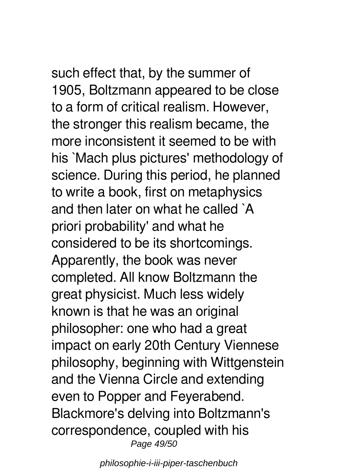such effect that, by the summer of 1905, Boltzmann appeared to be close to a form of critical realism. However, the stronger this realism became, the more inconsistent it seemed to be with his `Mach plus pictures' methodology of science. During this period, he planned to write a book, first on metaphysics and then later on what he called `A priori probability' and what he considered to be its shortcomings. Apparently, the book was never completed. All know Boltzmann the great physicist. Much less widely known is that he was an original philosopher: one who had a great impact on early 20th Century Viennese philosophy, beginning with Wittgenstein and the Vienna Circle and extending even to Popper and Feyerabend. Blackmore's delving into Boltzmann's correspondence, coupled with his

Page 49/50